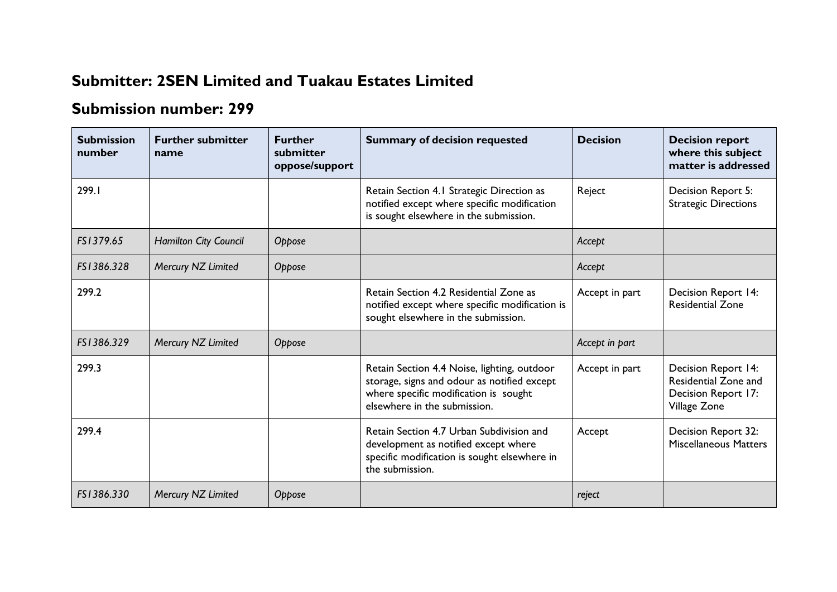## **Submitter: 2SEN Limited and Tuakau Estates Limited**

## **Submission number: 299**

| <b>Submission</b><br>number | <b>Further submitter</b><br>name | <b>Further</b><br>submitter<br>oppose/support | <b>Summary of decision requested</b>                                                                                                                                | <b>Decision</b> | <b>Decision report</b><br>where this subject<br>matter is addressed                |
|-----------------------------|----------------------------------|-----------------------------------------------|---------------------------------------------------------------------------------------------------------------------------------------------------------------------|-----------------|------------------------------------------------------------------------------------|
| 299.I                       |                                  |                                               | Retain Section 4.1 Strategic Direction as<br>notified except where specific modification<br>is sought elsewhere in the submission.                                  | Reject          | Decision Report 5:<br><b>Strategic Directions</b>                                  |
| FS1379.65                   | <b>Hamilton City Council</b>     | Oppose                                        |                                                                                                                                                                     | Accept          |                                                                                    |
| FS1386.328                  | Mercury NZ Limited               | Oppose                                        |                                                                                                                                                                     | Accept          |                                                                                    |
| 299.2                       |                                  |                                               | Retain Section 4.2 Residential Zone as<br>notified except where specific modification is<br>sought elsewhere in the submission.                                     | Accept in part  | Decision Report 14:<br><b>Residential Zone</b>                                     |
| FS1386.329                  | Mercury NZ Limited               | Oppose                                        |                                                                                                                                                                     | Accept in part  |                                                                                    |
| 299.3                       |                                  |                                               | Retain Section 4.4 Noise, lighting, outdoor<br>storage, signs and odour as notified except<br>where specific modification is sought<br>elsewhere in the submission. | Accept in part  | Decision Report 14:<br>Residential Zone and<br>Decision Report 17:<br>Village Zone |
| 299.4                       |                                  |                                               | Retain Section 4.7 Urban Subdivision and<br>development as notified except where<br>specific modification is sought elsewhere in<br>the submission.                 | Accept          | Decision Report 32:<br><b>Miscellaneous Matters</b>                                |
| FS1386.330                  | Mercury NZ Limited               | Oppose                                        |                                                                                                                                                                     | reject          |                                                                                    |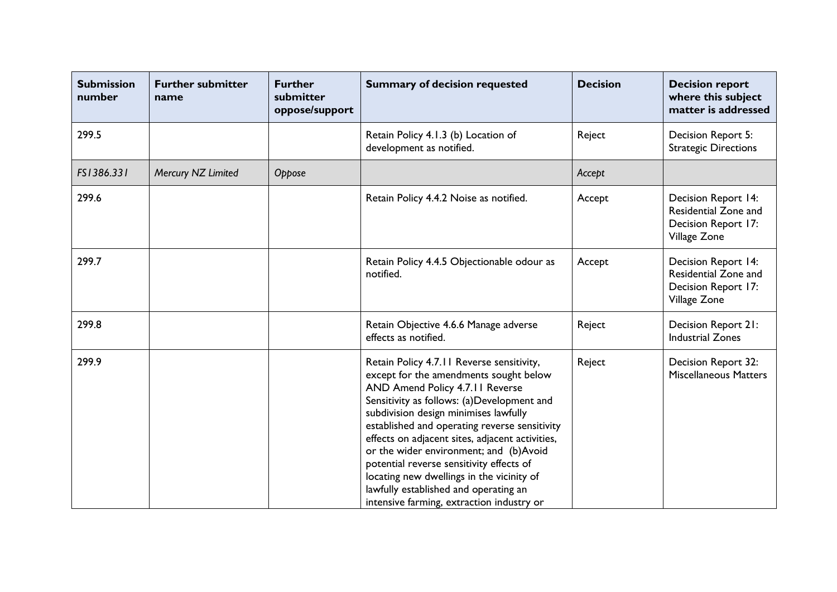| <b>Submission</b><br>number | <b>Further submitter</b><br>name | <b>Further</b><br>submitter<br>oppose/support | <b>Summary of decision requested</b>                                                                                                                                                                                                                                                                                                                                                                                                                                                                                                       | <b>Decision</b> | <b>Decision report</b><br>where this subject<br>matter is addressed                              |
|-----------------------------|----------------------------------|-----------------------------------------------|--------------------------------------------------------------------------------------------------------------------------------------------------------------------------------------------------------------------------------------------------------------------------------------------------------------------------------------------------------------------------------------------------------------------------------------------------------------------------------------------------------------------------------------------|-----------------|--------------------------------------------------------------------------------------------------|
| 299.5                       |                                  |                                               | Retain Policy 4.1.3 (b) Location of<br>development as notified.                                                                                                                                                                                                                                                                                                                                                                                                                                                                            | Reject          | Decision Report 5:<br><b>Strategic Directions</b>                                                |
| FS1386.331                  | Mercury NZ Limited               | Oppose                                        |                                                                                                                                                                                                                                                                                                                                                                                                                                                                                                                                            | Accept          |                                                                                                  |
| 299.6                       |                                  |                                               | Retain Policy 4.4.2 Noise as notified.                                                                                                                                                                                                                                                                                                                                                                                                                                                                                                     | Accept          | <b>Decision Report 14:</b><br><b>Residential Zone and</b><br>Decision Report 17:<br>Village Zone |
| 299.7                       |                                  |                                               | Retain Policy 4.4.5 Objectionable odour as<br>notified.                                                                                                                                                                                                                                                                                                                                                                                                                                                                                    | Accept          | <b>Decision Report 14:</b><br>Residential Zone and<br>Decision Report 17:<br>Village Zone        |
| 299.8                       |                                  |                                               | Retain Objective 4.6.6 Manage adverse<br>effects as notified.                                                                                                                                                                                                                                                                                                                                                                                                                                                                              | Reject          | Decision Report 21:<br><b>Industrial Zones</b>                                                   |
| 299.9                       |                                  |                                               | Retain Policy 4.7.11 Reverse sensitivity,<br>except for the amendments sought below<br>AND Amend Policy 4.7.11 Reverse<br>Sensitivity as follows: (a)Development and<br>subdivision design minimises lawfully<br>established and operating reverse sensitivity<br>effects on adjacent sites, adjacent activities,<br>or the wider environment; and (b)Avoid<br>potential reverse sensitivity effects of<br>locating new dwellings in the vicinity of<br>lawfully established and operating an<br>intensive farming, extraction industry or | Reject          | Decision Report 32:<br><b>Miscellaneous Matters</b>                                              |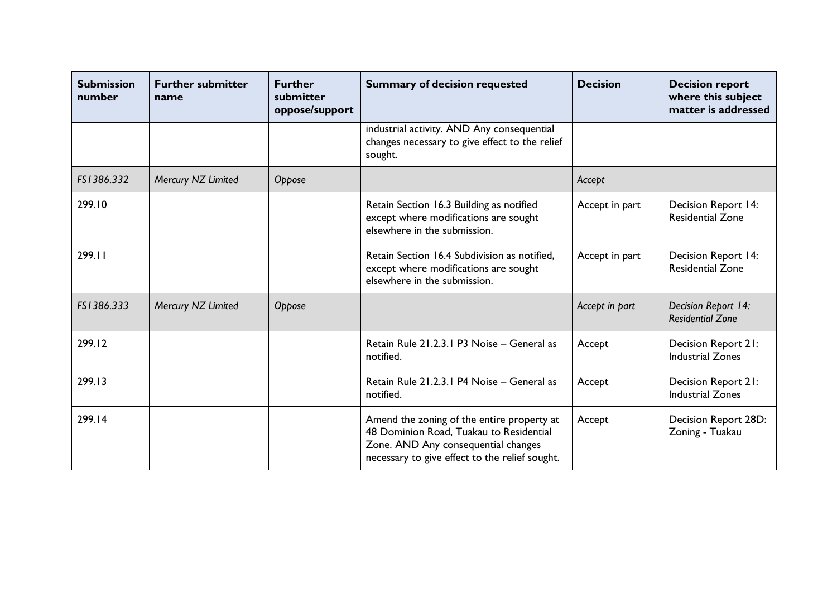| <b>Submission</b><br>number | <b>Further submitter</b><br>name | <b>Further</b><br>submitter<br>oppose/support | <b>Summary of decision requested</b>                                                                                                                                           | <b>Decision</b> | <b>Decision report</b><br>where this subject<br>matter is addressed |
|-----------------------------|----------------------------------|-----------------------------------------------|--------------------------------------------------------------------------------------------------------------------------------------------------------------------------------|-----------------|---------------------------------------------------------------------|
|                             |                                  |                                               | industrial activity. AND Any consequential<br>changes necessary to give effect to the relief<br>sought.                                                                        |                 |                                                                     |
| FS1386.332                  | Mercury NZ Limited               | Oppose                                        |                                                                                                                                                                                | Accept          |                                                                     |
| 299.10                      |                                  |                                               | Retain Section 16.3 Building as notified<br>except where modifications are sought<br>elsewhere in the submission.                                                              | Accept in part  | <b>Decision Report 14:</b><br><b>Residential Zone</b>               |
| 299.11                      |                                  |                                               | Retain Section 16.4 Subdivision as notified,<br>except where modifications are sought<br>elsewhere in the submission.                                                          | Accept in part  | <b>Decision Report 14:</b><br><b>Residential Zone</b>               |
| FS1386.333                  | Mercury NZ Limited               | Oppose                                        |                                                                                                                                                                                | Accept in part  | Decision Report 14:<br><b>Residential Zone</b>                      |
| 299.12                      |                                  |                                               | Retain Rule 21.2.3.1 P3 Noise - General as<br>notified.                                                                                                                        | Accept          | Decision Report 21:<br><b>Industrial Zones</b>                      |
| 299.13                      |                                  |                                               | Retain Rule 21.2.3.1 P4 Noise - General as<br>notified.                                                                                                                        | Accept          | Decision Report 21:<br><b>Industrial Zones</b>                      |
| 299.14                      |                                  |                                               | Amend the zoning of the entire property at<br>48 Dominion Road, Tuakau to Residential<br>Zone. AND Any consequential changes<br>necessary to give effect to the relief sought. | Accept          | Decision Report 28D:<br>Zoning - Tuakau                             |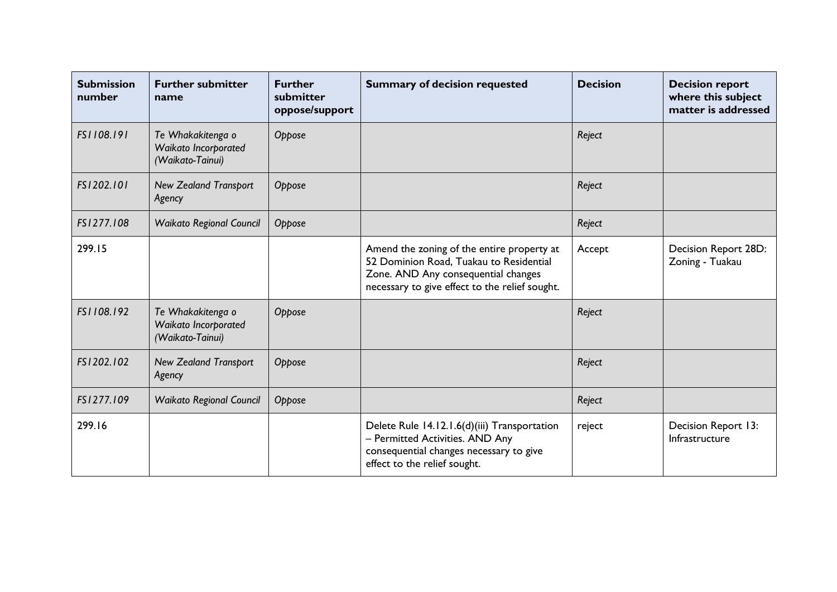| <b>Submission</b><br>number | <b>Further submitter</b><br>name                              | <b>Further</b><br>submitter<br>oppose/support | <b>Summary of decision requested</b>                                                                                                                                           | <b>Decision</b> | <b>Decision report</b><br>where this subject<br>matter is addressed |
|-----------------------------|---------------------------------------------------------------|-----------------------------------------------|--------------------------------------------------------------------------------------------------------------------------------------------------------------------------------|-----------------|---------------------------------------------------------------------|
| FS1108.191                  | Te Whakakitenga o<br>Waikato Incorporated<br>(Waikato-Tainui) | Oppose                                        |                                                                                                                                                                                | Reject          |                                                                     |
| FS1202.101                  | <b>New Zealand Transport</b><br>Agency                        | Oppose                                        |                                                                                                                                                                                | Reject          |                                                                     |
| FS1277.108                  | <b>Waikato Regional Council</b>                               | Oppose                                        |                                                                                                                                                                                | Reject          |                                                                     |
| 299.15                      |                                                               |                                               | Amend the zoning of the entire property at<br>52 Dominion Road, Tuakau to Residential<br>Zone. AND Any consequential changes<br>necessary to give effect to the relief sought. | Accept          | Decision Report 28D:<br>Zoning - Tuakau                             |
| FS1108.192                  | Te Whakakitenga o<br>Waikato Incorporated<br>(Waikato-Tainui) | Oppose                                        |                                                                                                                                                                                | Reject          |                                                                     |
| FS1202.102                  | <b>New Zealand Transport</b><br>Agency                        | Oppose                                        |                                                                                                                                                                                | Reject          |                                                                     |
| FS1277.109                  | <b>Waikato Regional Council</b>                               | Oppose                                        |                                                                                                                                                                                | Reject          |                                                                     |
| 299.16                      |                                                               |                                               | Delete Rule 14.12.1.6(d)(iii) Transportation<br>- Permitted Activities. AND Any<br>consequential changes necessary to give<br>effect to the relief sought.                     | reject          | Decision Report 13:<br>Infrastructure                               |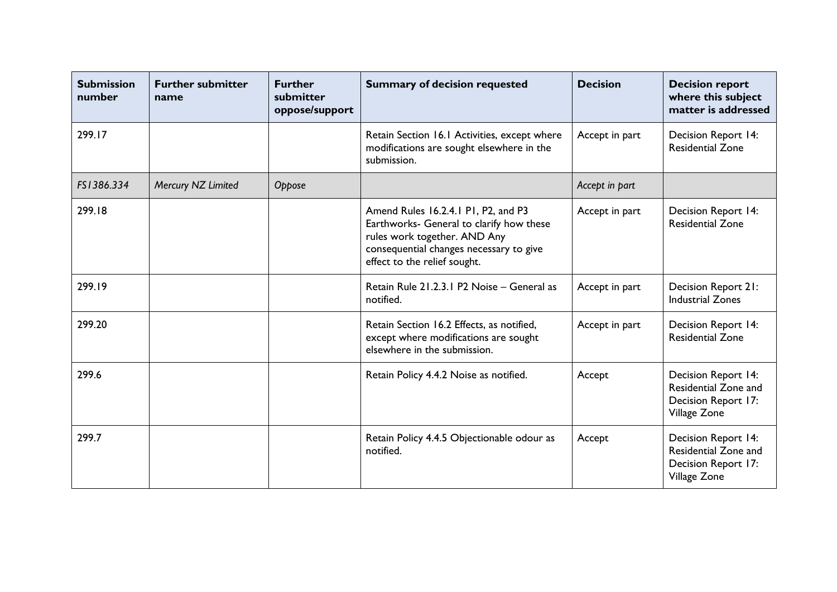| <b>Submission</b><br>number | <b>Further submitter</b><br>name | <b>Further</b><br>submitter<br>oppose/support | <b>Summary of decision requested</b>                                                                                                                                                       | <b>Decision</b> | <b>Decision report</b><br>where this subject<br>matter is addressed                       |
|-----------------------------|----------------------------------|-----------------------------------------------|--------------------------------------------------------------------------------------------------------------------------------------------------------------------------------------------|-----------------|-------------------------------------------------------------------------------------------|
| 299.17                      |                                  |                                               | Retain Section 16.1 Activities, except where<br>modifications are sought elsewhere in the<br>submission.                                                                                   | Accept in part  | <b>Decision Report 14:</b><br><b>Residential Zone</b>                                     |
| FS1386.334                  | Mercury NZ Limited               | Oppose                                        |                                                                                                                                                                                            | Accept in part  |                                                                                           |
| 299.18                      |                                  |                                               | Amend Rules 16.2.4.1 P1, P2, and P3<br>Earthworks- General to clarify how these<br>rules work together. AND Any<br>consequential changes necessary to give<br>effect to the relief sought. | Accept in part  | <b>Decision Report 14:</b><br><b>Residential Zone</b>                                     |
| 299.19                      |                                  |                                               | Retain Rule 21.2.3.1 P2 Noise - General as<br>notified.                                                                                                                                    | Accept in part  | Decision Report 21:<br><b>Industrial Zones</b>                                            |
| 299.20                      |                                  |                                               | Retain Section 16.2 Effects, as notified,<br>except where modifications are sought<br>elsewhere in the submission.                                                                         | Accept in part  | <b>Decision Report 14:</b><br><b>Residential Zone</b>                                     |
| 299.6                       |                                  |                                               | Retain Policy 4.4.2 Noise as notified.                                                                                                                                                     | Accept          | <b>Decision Report 14:</b><br>Residential Zone and<br>Decision Report 17:<br>Village Zone |
| 299.7                       |                                  |                                               | Retain Policy 4.4.5 Objectionable odour as<br>notified.                                                                                                                                    | Accept          | <b>Decision Report 14:</b><br>Residential Zone and<br>Decision Report 17:<br>Village Zone |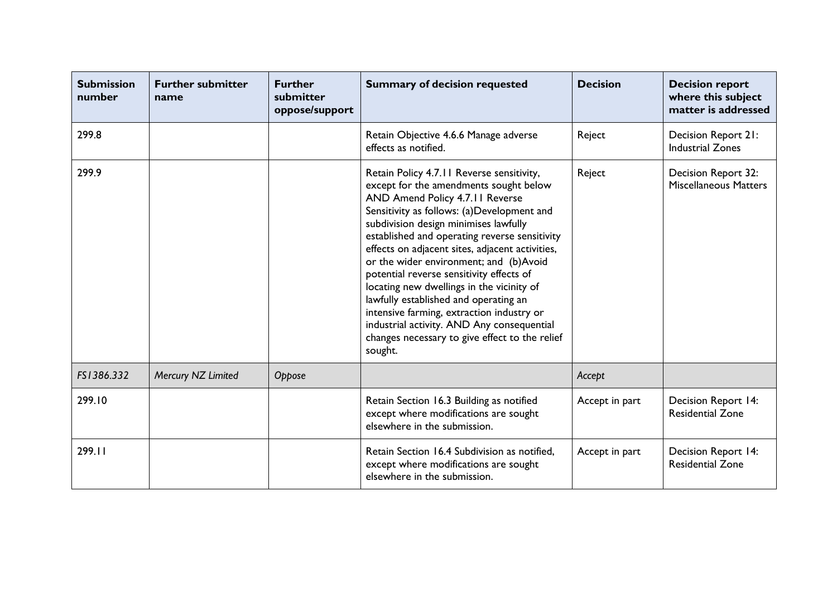| <b>Submission</b><br>number | <b>Further submitter</b><br>name | <b>Further</b><br>submitter<br>oppose/support | <b>Summary of decision requested</b>                                                                                                                                                                                                                                                                                                                                                                                                                                                                                                                                                                                                                  | <b>Decision</b> | <b>Decision report</b><br>where this subject<br>matter is addressed |
|-----------------------------|----------------------------------|-----------------------------------------------|-------------------------------------------------------------------------------------------------------------------------------------------------------------------------------------------------------------------------------------------------------------------------------------------------------------------------------------------------------------------------------------------------------------------------------------------------------------------------------------------------------------------------------------------------------------------------------------------------------------------------------------------------------|-----------------|---------------------------------------------------------------------|
| 299.8                       |                                  |                                               | Retain Objective 4.6.6 Manage adverse<br>effects as notified.                                                                                                                                                                                                                                                                                                                                                                                                                                                                                                                                                                                         | Reject          | Decision Report 21:<br><b>Industrial Zones</b>                      |
| 299.9                       |                                  |                                               | Retain Policy 4.7.11 Reverse sensitivity,<br>except for the amendments sought below<br>AND Amend Policy 4.7.11 Reverse<br>Sensitivity as follows: (a)Development and<br>subdivision design minimises lawfully<br>established and operating reverse sensitivity<br>effects on adjacent sites, adjacent activities,<br>or the wider environment; and (b)Avoid<br>potential reverse sensitivity effects of<br>locating new dwellings in the vicinity of<br>lawfully established and operating an<br>intensive farming, extraction industry or<br>industrial activity. AND Any consequential<br>changes necessary to give effect to the relief<br>sought. | Reject          | Decision Report 32:<br><b>Miscellaneous Matters</b>                 |
| FS1386.332                  | Mercury NZ Limited               | Oppose                                        |                                                                                                                                                                                                                                                                                                                                                                                                                                                                                                                                                                                                                                                       | Accept          |                                                                     |
| 299.10                      |                                  |                                               | Retain Section 16.3 Building as notified<br>except where modifications are sought<br>elsewhere in the submission.                                                                                                                                                                                                                                                                                                                                                                                                                                                                                                                                     | Accept in part  | Decision Report 14:<br><b>Residential Zone</b>                      |
| 299.11                      |                                  |                                               | Retain Section 16.4 Subdivision as notified,<br>except where modifications are sought<br>elsewhere in the submission.                                                                                                                                                                                                                                                                                                                                                                                                                                                                                                                                 | Accept in part  | Decision Report 14:<br><b>Residential Zone</b>                      |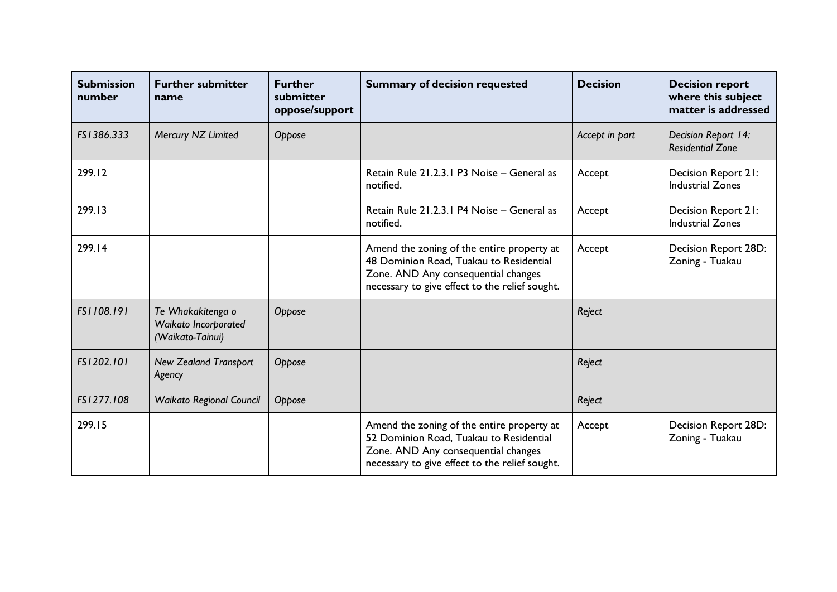| <b>Submission</b><br>number | <b>Further submitter</b><br>name                              | <b>Further</b><br>submitter<br>oppose/support | <b>Summary of decision requested</b>                                                                                                                                           | <b>Decision</b> | <b>Decision report</b><br>where this subject<br>matter is addressed |
|-----------------------------|---------------------------------------------------------------|-----------------------------------------------|--------------------------------------------------------------------------------------------------------------------------------------------------------------------------------|-----------------|---------------------------------------------------------------------|
| FS1386.333                  | Mercury NZ Limited                                            | Oppose                                        |                                                                                                                                                                                | Accept in part  | Decision Report 14:<br><b>Residential Zone</b>                      |
| 299.12                      |                                                               |                                               | Retain Rule 21.2.3.1 P3 Noise - General as<br>notified.                                                                                                                        | Accept          | Decision Report 21:<br><b>Industrial Zones</b>                      |
| 299.13                      |                                                               |                                               | Retain Rule 21.2.3.1 P4 Noise - General as<br>notified.                                                                                                                        | Accept          | Decision Report 21:<br><b>Industrial Zones</b>                      |
| 299.14                      |                                                               |                                               | Amend the zoning of the entire property at<br>48 Dominion Road, Tuakau to Residential<br>Zone. AND Any consequential changes<br>necessary to give effect to the relief sought. | Accept          | Decision Report 28D:<br>Zoning - Tuakau                             |
| FS1108.191                  | Te Whakakitenga o<br>Waikato Incorporated<br>(Waikato-Tainui) | Oppose                                        |                                                                                                                                                                                | Reject          |                                                                     |
| FS1202.101                  | <b>New Zealand Transport</b><br>Agency                        | Oppose                                        |                                                                                                                                                                                | Reject          |                                                                     |
| FS1277.108                  | <b>Waikato Regional Council</b>                               | Oppose                                        |                                                                                                                                                                                | Reject          |                                                                     |
| 299.15                      |                                                               |                                               | Amend the zoning of the entire property at<br>52 Dominion Road, Tuakau to Residential<br>Zone. AND Any consequential changes<br>necessary to give effect to the relief sought. | Accept          | Decision Report 28D:<br>Zoning - Tuakau                             |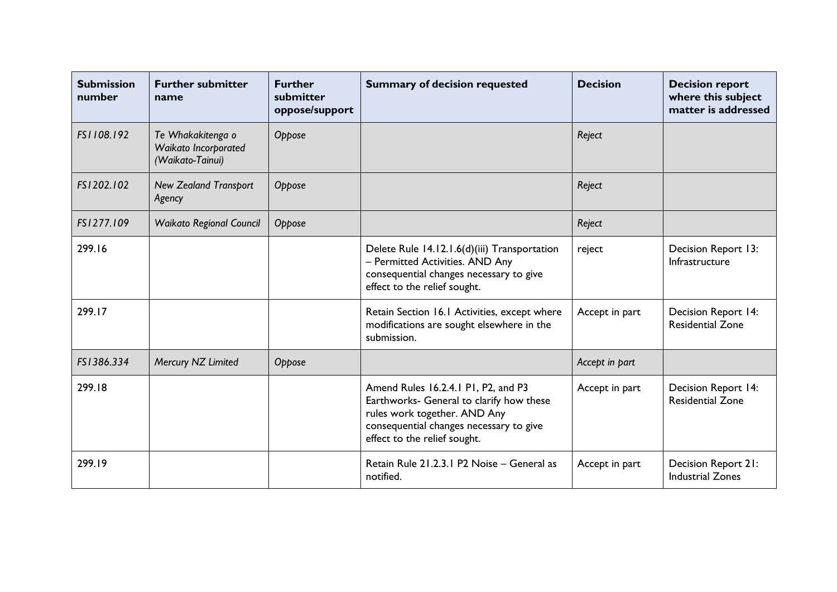| <b>Submission</b><br>number | <b>Further submitter</b><br>name                              | <b>Further</b><br>submitter<br>oppose/support | <b>Summary of decision requested</b>                                                                                                                                                       | <b>Decision</b> | <b>Decision report</b><br>where this subject<br>matter is addressed |
|-----------------------------|---------------------------------------------------------------|-----------------------------------------------|--------------------------------------------------------------------------------------------------------------------------------------------------------------------------------------------|-----------------|---------------------------------------------------------------------|
| FS1108.192                  | Te Whakakitenga o<br>Waikato Incorporated<br>(Waikato-Tainui) | Oppose                                        |                                                                                                                                                                                            | Reject          |                                                                     |
| FS1202.102                  | <b>New Zealand Transport</b><br>Agency                        | Oppose                                        |                                                                                                                                                                                            | Reject          |                                                                     |
| FS1277.109                  | <b>Waikato Regional Council</b>                               | Oppose                                        |                                                                                                                                                                                            | Reject          |                                                                     |
| 299.16                      |                                                               |                                               | Delete Rule 14.12.1.6(d)(iii) Transportation<br>- Permitted Activities. AND Any<br>consequential changes necessary to give<br>effect to the relief sought.                                 | reject          | Decision Report 13:<br>Infrastructure                               |
| 299.17                      |                                                               |                                               | Retain Section 16.1 Activities, except where<br>modifications are sought elsewhere in the<br>submission.                                                                                   | Accept in part  | <b>Decision Report 14:</b><br><b>Residential Zone</b>               |
| FS1386.334                  | Mercury NZ Limited                                            | Oppose                                        |                                                                                                                                                                                            | Accept in part  |                                                                     |
| 299.18                      |                                                               |                                               | Amend Rules 16.2.4.1 P1, P2, and P3<br>Earthworks- General to clarify how these<br>rules work together. AND Any<br>consequential changes necessary to give<br>effect to the relief sought. | Accept in part  | <b>Decision Report 14:</b><br><b>Residential Zone</b>               |
| 299.19                      |                                                               |                                               | Retain Rule 21.2.3.1 P2 Noise - General as<br>notified.                                                                                                                                    | Accept in part  | Decision Report 21:<br><b>Industrial Zones</b>                      |